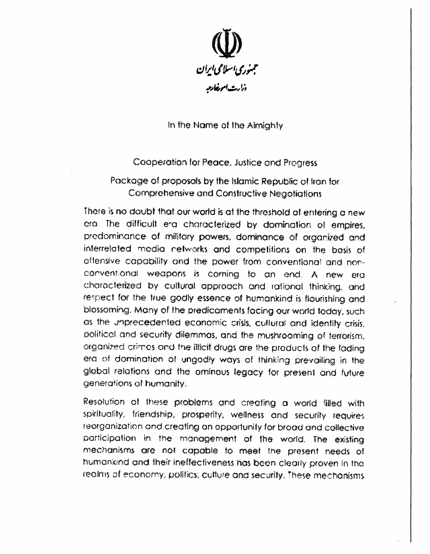

In the Name of the Almighty

Cooperation for Peace, Justice and Progress

Package of proposols by the Islamic Republic of Iran for Comprehensive and Constructive Negotiations

There is no doubt that our world is at the threshold of entering a new era. The difficult era characterized by domination of empires, predominance of military powers, dominance of organized and interrelated media networks and competitions on the basis of offensive capability and the power from conventional and nonconventional weapons is coming to an end. A new era characterized by cultural approach and rational thinking, and respect for the true godly essence of humankind is flourishing and blossoming. Many of the predicaments facing our world today, such as the unprecedented economic crisis, cultural and identity crisis. political and security dilemmas, and the mushrooming of terrorism, organized crimes and the illicit drugs are the products of the fading era of domination of ungodly ways of thinking prevailing in the global relations and the ominous legacy for present and future generations of humanity.

Resolution of these problems and creating a world filled with spirituality, friendship, prosperity, wellness and security requires reorganization and creating an opportunity for broad and collective participation in the management of the world. The existing mechanisms are not capable to meet the present needs of humankind and their ineffectiveness has been clearly proven in the realms of economy, politics, culture and security. These mechanisms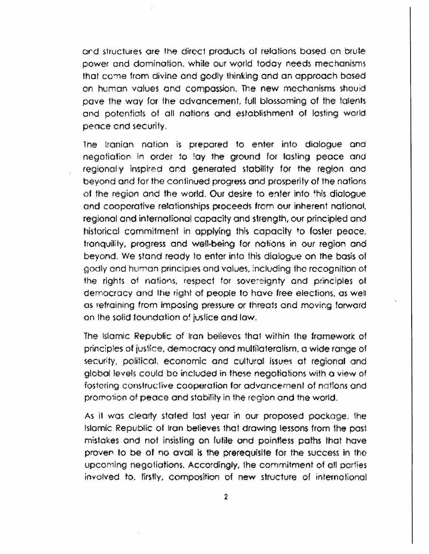and structures are the direct products of relations based on brute. power and domination, while our world today needs mechanisms that come from divine and godly thinking and an approach based on human values and compassion. The new mechanisms should pave the way for the advancement, full blossoming of the talents and potentials of all nations and establishment of lasting world peace and security.

The Iranian nation is prepared to enter into dialogue and negotiation in order to lay the ground for lasting peace and regionally inspired and generated stability for the region and beyond and for the continued progress and prosperity of the nations of the region and the world. Our desire to enter into this dialogue and cooperative relationships proceeds from our inherent national. regional and international capacity and strength, our principled and historical commitment in applying this capacity to foster peace, tranguility, progress and well-being for nations in our region and beyond. We stand ready to enter into this dialogue on the basis of godly and human principles and values, including the recognition of the rights of nations, respect for sovereignty and principles of democracy and the right of people to have free elections, as well as retraining from imposing pressure or threats and moving forward on the solid foundation of justice and law.

The Islamic Republic of Iran believes that within the framework of principles of justice, democracy and multilateralism, a wide range of security, political, economic and cultural issues at regional and global levels could be included in these negotiations with a view of fostering constructive cooperation for advancement of nations and promotion of peace and stability in the region and the world.

As it was clearly stated last year in our proposed package, the Islamic Republic of Iran believes that drawing lessons from the past mistakes and not insisting on futile and pointless paths that have proven to be of no avail is the prerequisite for the success in the upcoming negotiations. Accordingly, the commitment of all parties involved to, firstly, composition of new structure of international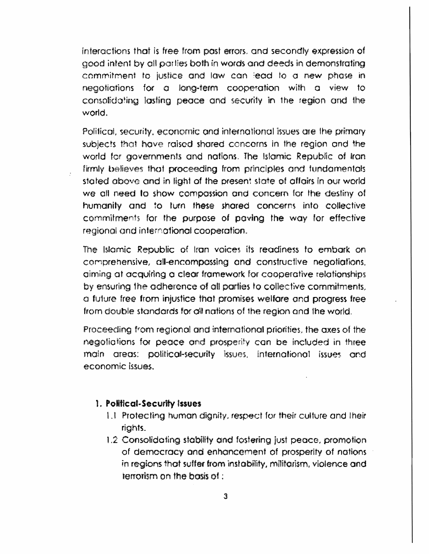interactions that is free from past errors, and secondly expression of good intent by all parties both in words and deeds in demonstrating commitment to justice and law can lead to a new phase in negotiations for a long-term cooperation with a view to consolidating lasting peace and security in the region and the world.

Political, security, economic and international issues are the primary subjects that have raised shared concerns in the region and the world for governments and nations. The Islamic Republic of Iran firmly believes that proceeding from principles and fundamentals. stated above and in light of the present state of affairs in our world we all need to show compassion and concern for the destiny of humanity and to lum these shared concerns into collective commitments for the purpose of paving the way for effective regional and international cooperation.

The Islamic Republic of Iran voices its readiness to embark on comprehensive, all-encompassing and constructive negotiations. aiming at acquiring a clear framework for cooperative relationships by ensuring the adherence of all parties to collective commitments. a future free from injustice that promises welfare and progress free from double standards for all nations of the region and the world.

Proceeding from regional and international priorities, the axes of the negotiations for peace and prosperity can be included in three main areas: political-security issues, international issues and economic issues

## 1. Political-Security issues

- 1.1 Protecting human dignity, respect for their culture and their rights.
- 1.2 Consolidating stability and fostering just peace, promotion of democracy and enhancement of prosperity of nations in regions that suffer from instability, militarism, violence and terrorism on the basis of :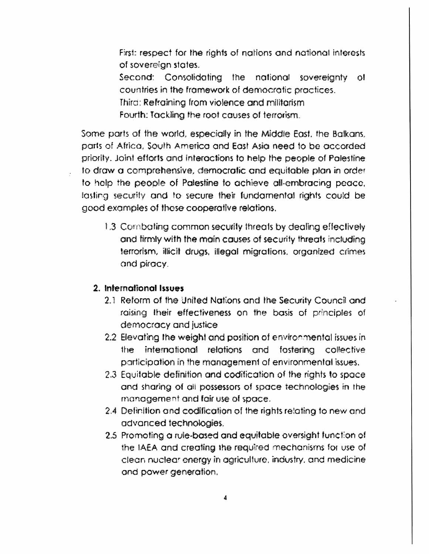First: respect for the rights of nations and national interests. of sovereign states.

Second: Consolidating the national sovereignty ΩL countries in the framework of democratic practices. Third: Refraining from violence and militarism

Fourth: Tackling the root causes of terrorism.

Some parts of the world, especially in the Middle East, the Balkans. parts of Africa, South America and East Asia need to be accorded priority. Joint efforts and interactions to help the people of Palestine to draw a comprehensive, democratic and equitable plan in order to help the people of Palestine to achieve all-embracing peace. tasting security and to secure their fundamental rights could be good examples of these cooperative relations.

1.3 Combating common security threats by dealing effectively and firmly with the main causes of security threats including terrorism, illicit drugs, illegal migrations, organized crimes and piracy.

## 2. International Issues

- 2.1 Reform of the United Nations and the Security Council and raising their effectiveness on the basis of principles of democracy and justice
- 2.2 Elevating the weight and position of environmental issues in the international relations and fostering collective participation in the management of environmental issues.
- 2.3 Equitable definition and codification of the rights to space and sharing of all possessors of space technologies in the management and fair use of space.
- 2.4 Definition and codification of the rights relating to new and advanced technologies.
- 2.5 Promoting a rule-based and equitable oversight function of the IAEA and creating the required mechanisms for use of clean nuclear energy in agriculture, industry, and medicine and power generation.